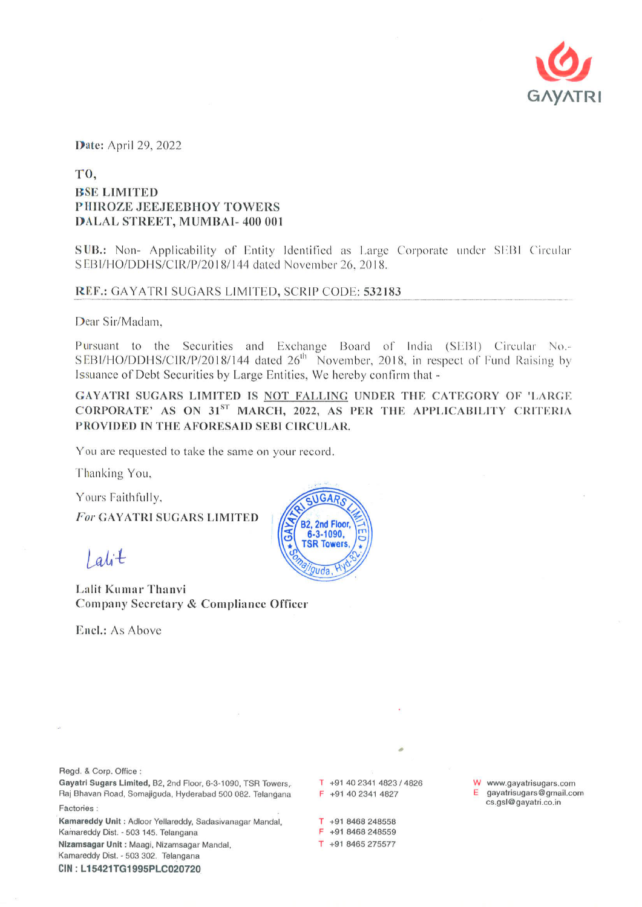

Date: April 29, 2022

## T<sub>0</sub>. **BSE LIMITED** PHIROZE JEEJEEBHOY TOWERS DALAL STREET, MUMBAI-400 001

SUB.: Non- Applicability of Entity Identified as Large Corporate under SEBI Circular SEBI/HO/DDHS/CIR/P/2018/144 dated November 26, 2018.

## REF.: GAYATRI SUGARS LIMITED, SCRIP CODE: 532183

Dear Sir/Madam.

Pursuant to the Securities and Exchange Board of India (SEBI) Circular No.-SEBI/HO/DDHS/CIR/P/2018/144 dated 26<sup>th</sup> November, 2018, in respect of Fund Raising by Issuance of Debt Securities by Large Entities, We hereby confirm that -

GAYATRI SUGARS LIMITED IS NOT FALLING UNDER THE CATEGORY OF 'LARGE CORPORATE' AS ON 31ST MARCH, 2022, AS PER THE APPLICABILITY CRITERIA PROVIDED IN THE AFORESAID SEBI CIRCULAR.

You are requested to take the same on your record.

Thanking You,

Yours Faithfully,

For GAYATRI SUGARS LIMITED

 $l$  alit

Lalit Kumar Thanvi Company Secretary & Compliance Officer

Encl.: As Above



Regd. & Corp. Office:

Gayatri Sugars Limited, B2, 2nd Floor, 6-3-1090, TSR Towers, Raj Bhavan Road, Somajiguda, Hyderabad 500 082. Telangana Factories:

Kamareddy Unit: Adloor Yellareddy, Sadasivanagar Mandal, Kamareddy Dist. - 503 145. Telangana Nizamsagar Unit : Maagi, Nizamsagar Mandal, Kamareddy Dist. - 503 302. Telangana

CIN: L15421TG1995PLC020720

T +91 40 2341 4823 / 4826 F +91 40 2341 4827

T +91 8468 248558 F +91 8468 248559

T +91 8465 275577

W www.gayatrisugars.com gayatrisugars@gmail.com cs.gsl@gayatri.co.in